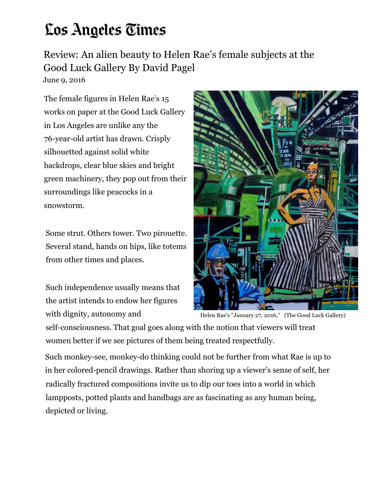## Los Angeles Times

Review: An alien beauty to Helen Rae's female subjects at the Good Luck Gallery By David Pagel

June 9, 2016

The female figures in Helen Rae's 15 works on paper at the Good Luck Gallery in Los Angeles are unlike any the 76-year-old artist has drawn. Crisply silhouetted against solid white backdrops, clear blue skies and bright green machinery, they pop out from their surroundings like peacocks in a snowstorm.

Some strut. Others tower. Two pirouette. Several stand, hands on hips, like totems from other times and places.

Such independence usually means that the artist intends to endow her figures with dignity, autonomy and



Helen Rae's "January 27, 2016," (The Good Luck Gallery)

self-consciousness. That goal goes along with the notion that viewers will treat women better if we see pictures of them being treated respectfully.

Such monkey-see, monkey-do thinking could not be further from what Rae is up to in her colored-pencil drawings. Rather than shoring up a viewer's sense of self, her radically fractured compositions invite us to dip our toes into a world in which lampposts, potted plants and handbags are as fascinating as any human being, depicted or living.